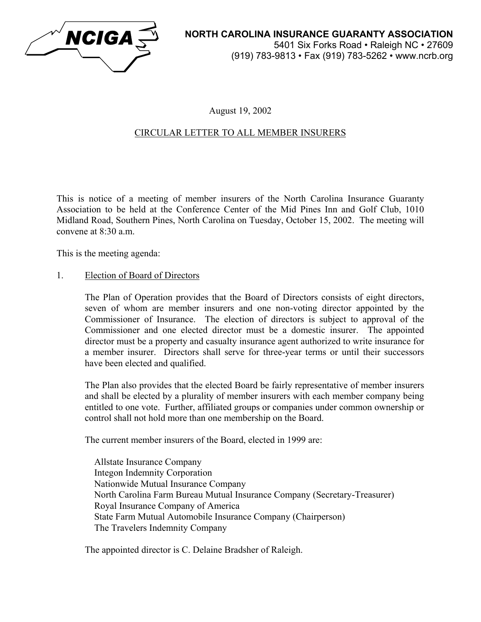

## August 19, 2002

# CIRCULAR LETTER TO ALL MEMBER INSURERS

This is notice of a meeting of member insurers of the North Carolina Insurance Guaranty Association to be held at the Conference Center of the Mid Pines Inn and Golf Club, 1010 Midland Road, Southern Pines, North Carolina on Tuesday, October 15, 2002. The meeting will convene at  $8.30$  a.m.

This is the meeting agenda:

#### 1. Election of Board of Directors

The Plan of Operation provides that the Board of Directors consists of eight directors, seven of whom are member insurers and one non-voting director appointed by the Commissioner of Insurance. The election of directors is subject to approval of the Commissioner and one elected director must be a domestic insurer. The appointed director must be a property and casualty insurance agent authorized to write insurance for a member insurer. Directors shall serve for three-year terms or until their successors have been elected and qualified.

The Plan also provides that the elected Board be fairly representative of member insurers and shall be elected by a plurality of member insurers with each member company being entitled to one vote. Further, affiliated groups or companies under common ownership or control shall not hold more than one membership on the Board.

The current member insurers of the Board, elected in 1999 are:

 Allstate Insurance Company Integon Indemnity Corporation Nationwide Mutual Insurance Company North Carolina Farm Bureau Mutual Insurance Company (Secretary-Treasurer) Royal Insurance Company of America State Farm Mutual Automobile Insurance Company (Chairperson) The Travelers Indemnity Company

The appointed director is C. Delaine Bradsher of Raleigh.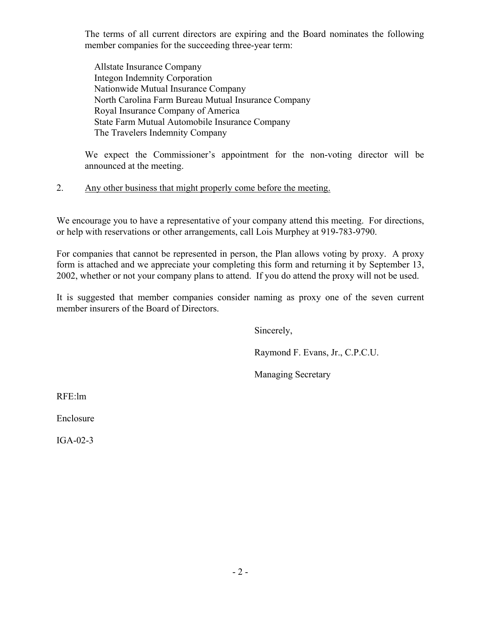The terms of all current directors are expiring and the Board nominates the following member companies for the succeeding three-year term:

 Allstate Insurance Company Integon Indemnity Corporation Nationwide Mutual Insurance Company North Carolina Farm Bureau Mutual Insurance Company Royal Insurance Company of America State Farm Mutual Automobile Insurance Company The Travelers Indemnity Company

We expect the Commissioner's appointment for the non-voting director will be announced at the meeting.

## 2. Any other business that might properly come before the meeting.

We encourage you to have a representative of your company attend this meeting. For directions, or help with reservations or other arrangements, call Lois Murphey at 919-783-9790.

For companies that cannot be represented in person, the Plan allows voting by proxy. A proxy form is attached and we appreciate your completing this form and returning it by September 13, 2002, whether or not your company plans to attend. If you do attend the proxy will not be used.

It is suggested that member companies consider naming as proxy one of the seven current member insurers of the Board of Directors.

Sincerely,

Raymond F. Evans, Jr., C.P.C.U.

Managing Secretary

RFE:lm

Enclosure

IGA-02-3